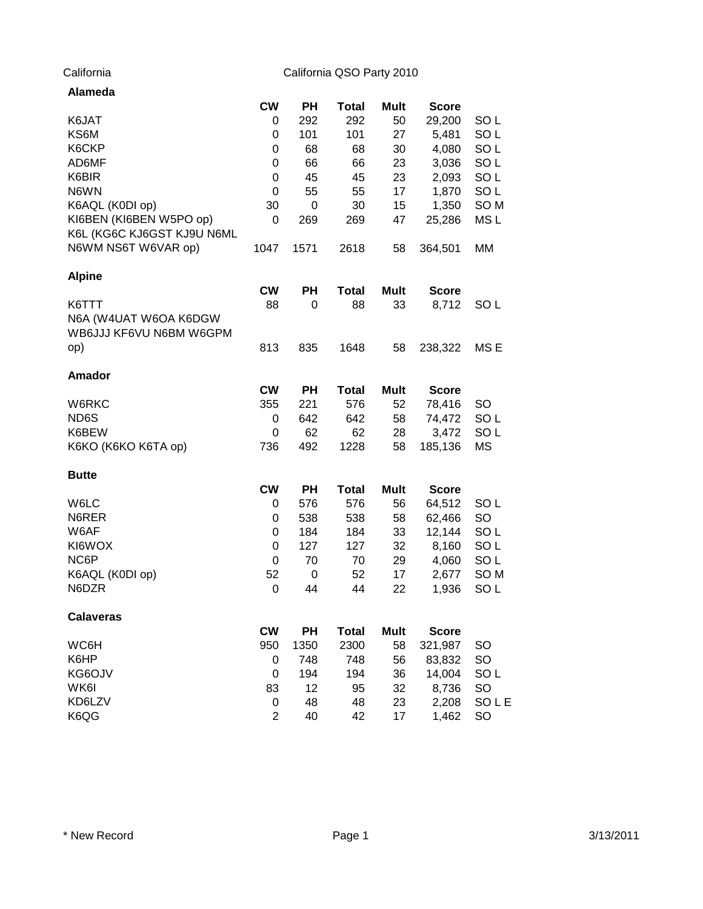| Alameda                    |                |             |              |             |              |                 |
|----------------------------|----------------|-------------|--------------|-------------|--------------|-----------------|
|                            | <b>CW</b>      | <b>PH</b>   | <b>Total</b> | Mult        | <b>Score</b> |                 |
| K6JAT                      | 0              | 292         | 292          | 50          | 29,200       | SO <sub>L</sub> |
| KS6M                       | 0              | 101         | 101          | 27          | 5,481        | SO <sub>L</sub> |
| K6CKP                      | 0              | 68          | 68           | 30          | 4,080        | SO <sub>L</sub> |
| AD6MF                      | 0              | 66          | 66           | 23          | 3,036        | SO <sub>L</sub> |
| K6BIR                      | 0              | 45          | 45           | 23          | 2,093        | SO <sub>L</sub> |
| N6WN                       | 0              | 55          | 55           | 17          | 1,870        | SO <sub>L</sub> |
| K6AQL (K0DI op)            | 30             | 0           | 30           | 15          | 1,350        | SO <sub>M</sub> |
| KI6BEN (KI6BEN W5PO op)    | 0              | 269         | 269          | 47          | 25,286       | MS <sub>L</sub> |
| K6L (KG6C KJ6GST KJ9U N6ML |                |             |              |             |              |                 |
| N6WM NS6T W6VAR op)        | 1047           | 1571        | 2618         | 58          | 364,501      | MM              |
| <b>Alpine</b>              |                |             |              |             |              |                 |
|                            | <b>CW</b>      | <b>PH</b>   | <b>Total</b> | <b>Mult</b> | <b>Score</b> |                 |
| K6TTT                      | 88             | 0           | 88           | 33          | 8,712        | SO L            |
| N6A (W4UAT W6OA K6DGW      |                |             |              |             |              |                 |
| WB6JJJ KF6VU N6BM W6GPM    |                |             |              |             |              |                 |
| op)                        | 813            | 835         | 1648         | 58          | 238,322      | MS E            |
| <b>Amador</b>              |                |             |              |             |              |                 |
|                            | <b>CW</b>      | PH          | <b>Total</b> | <b>Mult</b> | <b>Score</b> |                 |
| W6RKC                      | 355            | 221         | 576          | 52          | 78,416       | <b>SO</b>       |
| ND6S                       | 0              | 642         | 642          | 58          | 74,472       | SO <sub>L</sub> |
| K6BEW                      | 0              | 62          | 62           | 28          | 3,472        | SO <sub>L</sub> |
| K6KO (K6KO K6TA op)        | 736            | 492         | 1228         | 58          | 185,136      | MS              |
| <b>Butte</b>               |                |             |              |             |              |                 |
|                            | <b>CW</b>      | <b>PH</b>   | <b>Total</b> | <b>Mult</b> | <b>Score</b> |                 |
| W6LC                       | 0              | 576         | 576          | 56          | 64,512       | SO <sub>L</sub> |
| N6RER                      | 0              | 538         | 538          | 58          | 62,466       | <b>SO</b>       |
| W6AF                       | 0              | 184         | 184          | 33          | 12,144       | SO <sub>L</sub> |
| KI6WOX                     | 0              | 127         | 127          | 32          | 8,160        | SO <sub>L</sub> |
| NC6P                       | 0              | 70          | 70           | 29          | 4,060        | SO <sub>L</sub> |
| K6AQL (K0DI op)            | 52             | $\mathbf 0$ | 52           | 17          | 2,677        | SO <sub>M</sub> |
| N6DZR                      | 0              | 44          | 44           | 22          | 1,936        | SO <sub>L</sub> |
| <b>Calaveras</b>           |                |             |              |             |              |                 |
|                            | <b>CW</b>      | PH          | <b>Total</b> | <b>Mult</b> | <b>Score</b> |                 |
| WC6H                       | 950            | 1350        | 2300         | 58          | 321,987      | <b>SO</b>       |
| K6HP                       | 0              | 748         | 748          | 56          | 83,832       | <b>SO</b>       |
| KG6OJV                     | 0              | 194         | 194          | 36          | 14,004       | SO <sub>L</sub> |
| WK6I                       | 83             | 12          | 95           | 32          | 8,736        | <b>SO</b>       |
| KD6LZV                     | 0              | 48          | 48           | 23          | 2,208        | <b>SOLE</b>     |
| K6QG                       | $\overline{2}$ | 40          | 42           | 17          | 1,462        | SO              |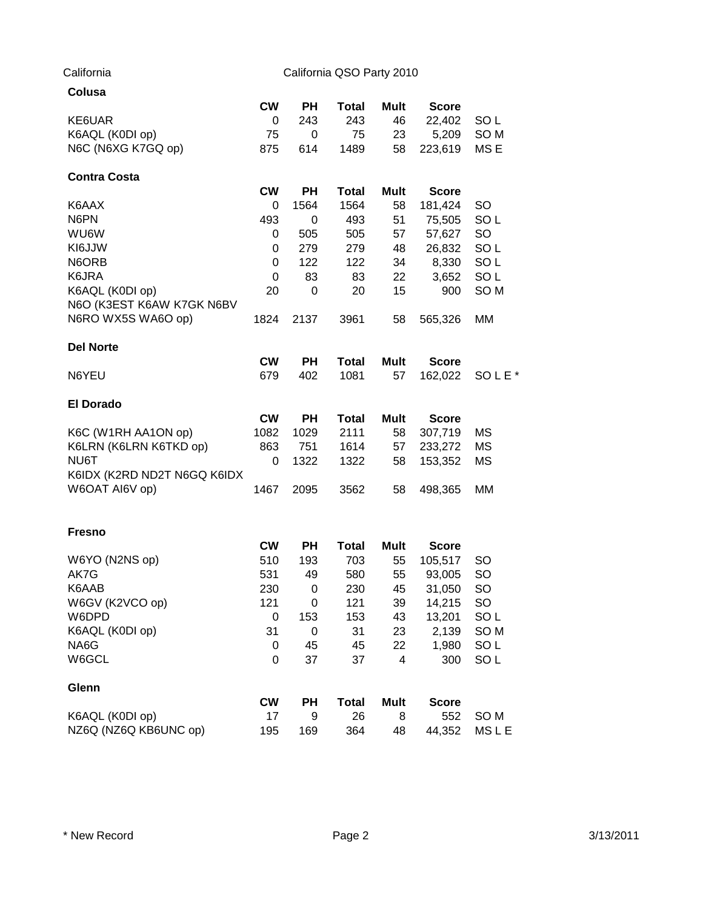| Colusa                                       |           |           |              |             |              |                   |
|----------------------------------------------|-----------|-----------|--------------|-------------|--------------|-------------------|
|                                              | <b>CW</b> | <b>PH</b> | <b>Total</b> | Mult        | <b>Score</b> |                   |
| KE6UAR                                       | 0         | 243       | 243          | 46          | 22,402       | SO <sub>L</sub>   |
| K6AQL (K0DI op)                              | 75        | 0         | 75           | 23          | 5,209        | SO <sub>M</sub>   |
| N6C (N6XG K7GQ op)                           | 875       | 614       | 1489         | 58          | 223,619      | MS <sub>E</sub>   |
| <b>Contra Costa</b>                          |           |           |              |             |              |                   |
|                                              | <b>CW</b> | PН        | <b>Total</b> | <b>Mult</b> | <b>Score</b> |                   |
| K6AAX                                        | 0         | 1564      | 1564         | 58          | 181,424      | SO                |
| N6PN                                         | 493       | 0         | 493          | 51          | 75,505       | SO <sub>L</sub>   |
| <b>WU6W</b>                                  | 0         | 505       | 505          | 57          | 57,627       | <b>SO</b>         |
| KI6JJW                                       | 0         | 279       | 279          | 48          | 26,832       | SO <sub>L</sub>   |
| N6ORB                                        | 0         | 122       | 122          | 34          | 8,330        | SO <sub>L</sub>   |
| K6JRA                                        | 0         | 83        | 83           | 22          | 3,652        | SO <sub>L</sub>   |
| K6AQL (K0DI op)<br>N6O (K3EST K6AW K7GK N6BV | 20        | 0         | 20           | 15          | 900          | SO <sub>M</sub>   |
| N6RO WX5S WA6O op)                           | 1824      | 2137      | 3961         | 58          | 565,326      | МM                |
| <b>Del Norte</b>                             |           |           |              |             |              |                   |
|                                              | <b>CW</b> | <b>PH</b> | <b>Total</b> | Mult        | <b>Score</b> |                   |
| N6YEU                                        | 679       | 402       | 1081         | 57          | 162,022      | SOLE <sup>*</sup> |
| <b>El Dorado</b>                             |           |           |              |             |              |                   |
|                                              | <b>CW</b> | PН        | <b>Total</b> | <b>Mult</b> | <b>Score</b> |                   |
| K6C (W1RH AA1ON op)                          | 1082      | 1029      | 2111         | 58          | 307,719      | МS                |
| K6LRN (K6LRN K6TKD op)                       | 863       | 751       | 1614         | 57          | 233,272      | MS                |
| NU6T                                         | 0         | 1322      | 1322         | 58          | 153,352      | MS                |
| K6IDX (K2RD ND2T N6GQ K6IDX                  |           |           |              |             |              |                   |
| W6OAT AI6V op)                               | 1467      | 2095      | 3562         | 58          | 498,365      | МM                |
|                                              |           |           |              |             |              |                   |
| <b>Fresno</b>                                | <b>CW</b> | PН        | <b>Total</b> | Mult        | <b>Score</b> |                   |
| W6YO (N2NS op)                               | 510       | 193       | 703          | 55          | 105,517      | SO.               |
| AK7G                                         | 531       | 49        | 580          | 55          | 93,005       | <b>SO</b>         |
| K6AAB                                        | 230       | 0         | 230          | 45          | 31,050       | SO                |
| W6GV (K2VCO op)                              | 121       | 0         | 121          | 39          | 14,215       | <b>SO</b>         |
| W6DPD                                        | 0         | 153       | 153          | 43          | 13,201       | SO <sub>L</sub>   |
| K6AQL (K0DI op)                              | 31        | 0         | 31           | 23          | 2,139        | SO <sub>M</sub>   |
| NA6G                                         | 0         | 45        | 45           | 22          | 1,980        | SO <sub>L</sub>   |
| W6GCL                                        | 0         | 37        | 37           | 4           | 300          | SO <sub>L</sub>   |
| Glenn                                        |           |           |              |             |              |                   |
|                                              | <b>CW</b> | PH        | <b>Total</b> | <b>Mult</b> | <b>Score</b> |                   |
| K6AQL (K0DI op)                              | 17        | 9         | 26           | 8           | 552          | SO <sub>M</sub>   |
| NZ6Q (NZ6Q KB6UNC op)                        | 195       | 169       | 364          | 48          | 44,352       | <b>MSLE</b>       |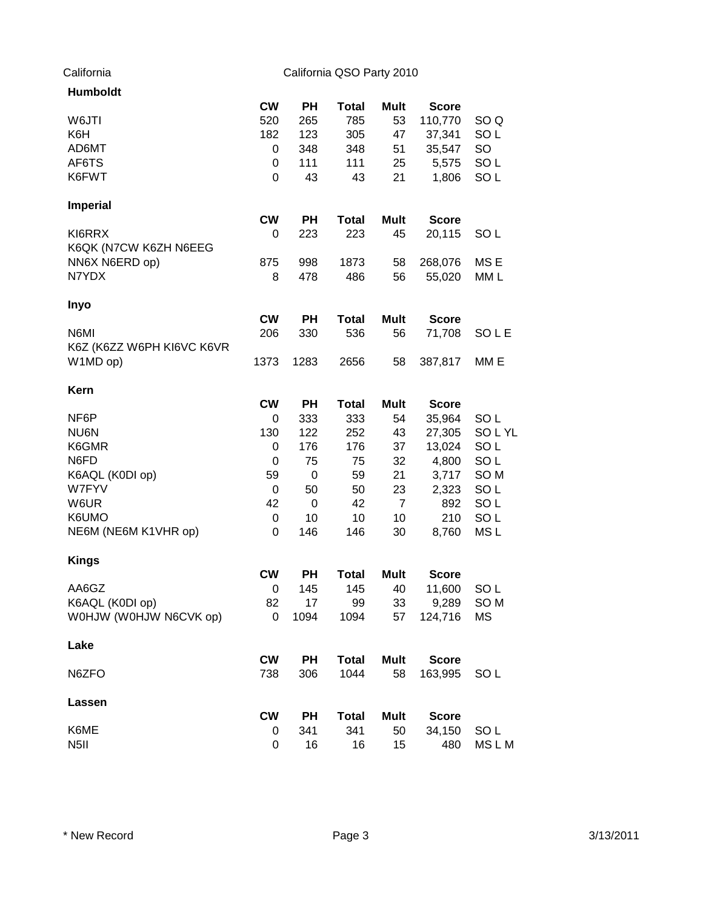| <b>Humboldt</b>           |           |           |              |                |              |                 |
|---------------------------|-----------|-----------|--------------|----------------|--------------|-----------------|
|                           | <b>CW</b> | <b>PH</b> | <b>Total</b> | Mult           | <b>Score</b> |                 |
| W6JTI                     | 520       | 265       | 785          | 53             | 110,770      | SO <sub>Q</sub> |
| K6H                       | 182       | 123       | 305          | 47             | 37,341       | SO <sub>L</sub> |
| AD6MT                     | 0         | 348       | 348          | 51             | 35,547       | <b>SO</b>       |
| AF6TS                     | 0         | 111       | 111          | 25             | 5,575        | SO <sub>L</sub> |
| K6FWT                     | 0         | 43        | 43           | 21             | 1,806        | SO <sub>L</sub> |
| <b>Imperial</b>           |           |           |              |                |              |                 |
|                           | <b>CW</b> | <b>PH</b> | <b>Total</b> | Mult           | <b>Score</b> |                 |
| KI6RRX                    | 0         | 223       | 223          | 45             | 20,115       | SO <sub>L</sub> |
| K6QK (N7CW K6ZH N6EEG     |           |           |              |                |              |                 |
| NN6X N6ERD op)            | 875       | 998       | 1873         | 58             | 268,076      | MS <sub>E</sub> |
| N7YDX                     | 8         | 478       | 486          | 56             | 55,020       | MM L            |
| <b>Inyo</b>               |           |           |              |                |              |                 |
|                           | <b>CW</b> | <b>PH</b> | <b>Total</b> | <b>Mult</b>    | <b>Score</b> |                 |
| N6MI                      | 206       | 330       | 536          | 56             | 71,708       | SOLE            |
| K6Z (K6ZZ W6PH KI6VC K6VR |           |           |              |                |              |                 |
| W1MD op)                  | 1373      | 1283      | 2656         | 58             | 387,817      | MM E            |
| Kern                      |           |           |              |                |              |                 |
|                           | <b>CW</b> | <b>PH</b> | <b>Total</b> | <b>Mult</b>    | <b>Score</b> |                 |
| NF6P                      | 0         | 333       | 333          | 54             | 35,964       | SO <sub>L</sub> |
| NU6N                      | 130       | 122       | 252          | 43             | 27,305       | SOLYL           |
| K6GMR                     | 0         | 176       | 176          | 37             | 13,024       | SO <sub>L</sub> |
| N6FD                      | 0         | 75        | 75           | 32             | 4,800        | SO <sub>L</sub> |
| K6AQL (K0DI op)           | 59        | $\pmb{0}$ | 59           | 21             | 3,717        | SO <sub>M</sub> |
| W7FYV                     | 0         | 50        | 50           | 23             | 2,323        | SO <sub>L</sub> |
| W6UR                      | 42        | 0         | 42           | $\overline{7}$ | 892          | SO <sub>L</sub> |
| K6UMO                     | 0         | 10        | 10           | 10             | 210          | SO <sub>L</sub> |
| NE6M (NE6M K1VHR op)      | 0         | 146       | 146          | 30             | 8,760        | MS <sub>L</sub> |
| <b>Kings</b>              |           |           |              |                |              |                 |
|                           | <b>CW</b> | <b>PH</b> | <b>Total</b> | Mult           | <b>Score</b> |                 |
| AA6GZ                     | 0         | 145       | 145          | 40             | 11,600       | SO <sub>L</sub> |
| K6AQL (K0DI op)           | 82        | 17        | 99           | 33             | 9,289        | SO <sub>M</sub> |
| WOHJW (WOHJW N6CVK op)    | 0         | 1094      | 1094         | 57             | 124,716      | <b>MS</b>       |
| Lake                      |           |           |              |                |              |                 |
|                           | <b>CW</b> | <b>PH</b> | <b>Total</b> | <b>Mult</b>    | <b>Score</b> |                 |
| N6ZFO                     | 738       | 306       | 1044         | 58             | 163,995      | SO <sub>L</sub> |
| Lassen                    |           |           |              |                |              |                 |
|                           | <b>CW</b> | <b>PH</b> | <b>Total</b> | <b>Mult</b>    | <b>Score</b> |                 |
| K6ME                      | 0         | 341       | 341          | 50             | 34,150       | SO <sub>L</sub> |
| N <sub>5</sub> II         | 0         | 16        | 16           | 15             | 480          | MS L M          |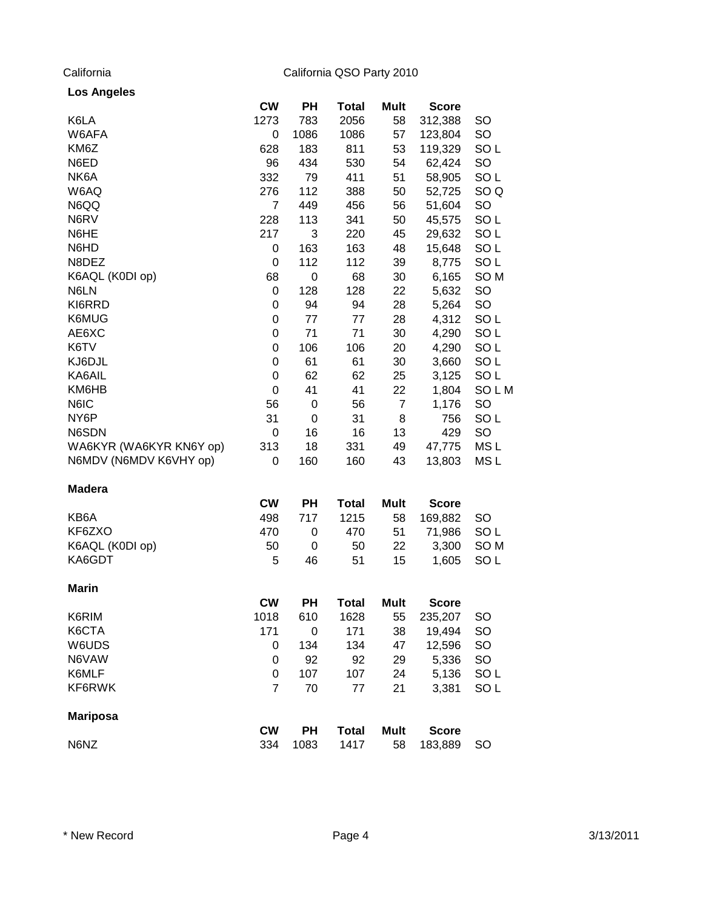| <b>Los Angeles</b> |  |
|--------------------|--|
|--------------------|--|

|                         | <b>CW</b>      | PH   | <b>Total</b> | <b>Mult</b>    | <b>Score</b> |                 |
|-------------------------|----------------|------|--------------|----------------|--------------|-----------------|
| K6LA                    | 1273           | 783  | 2056         | 58             | 312,388      | <b>SO</b>       |
| W6AFA                   | 0              | 1086 | 1086         | 57             | 123,804      | SO              |
| KM6Z                    | 628            | 183  | 811          | 53             | 119,329      | SO <sub>L</sub> |
| N6ED                    | 96             | 434  | 530          | 54             | 62,424       | <b>SO</b>       |
| NK6A                    | 332            | 79   | 411          | 51             | 58,905       | SO <sub>L</sub> |
| W6AQ                    | 276            | 112  | 388          | 50             | 52,725       | SO <sub>Q</sub> |
| N6QQ                    | 7              | 449  | 456          | 56             | 51,604       | <b>SO</b>       |
| N6RV                    | 228            | 113  | 341          | 50             | 45,575       | SO <sub>L</sub> |
| N6HE                    | 217            | 3    | 220          | 45             | 29,632       | SO <sub>L</sub> |
| N6HD                    | 0              | 163  | 163          | 48             | 15,648       | SO <sub>L</sub> |
| N8DEZ                   | 0              | 112  | 112          | 39             | 8,775        | SO <sub>L</sub> |
| K6AQL (K0DI op)         | 68             | 0    | 68           | 30             | 6,165        | SO <sub>M</sub> |
| N6LN                    | 0              | 128  | 128          | 22             | 5,632        | SO              |
| KI6RRD                  | 0              | 94   | 94           | 28             | 5,264        | SO              |
| K6MUG                   | 0              | 77   | 77           | 28             | 4,312        | SO <sub>L</sub> |
| AE6XC                   | 0              | 71   | 71           | 30             | 4,290        | SO <sub>L</sub> |
| K6TV                    | 0              | 106  | 106          | 20             | 4,290        | SO <sub>L</sub> |
| KJ6DJL                  | 0              | 61   | 61           | 30             | 3,660        | SO <sub>L</sub> |
| KA6AIL                  | 0              | 62   | 62           | 25             | 3,125        | SO <sub>L</sub> |
| KM6HB                   | 0              | 41   | 41           | 22             | 1,804        | SOLM            |
| N6IC                    | 56             | 0    | 56           | $\overline{7}$ | 1,176        | <b>SO</b>       |
| NY6P                    | 31             | 0    | 31           | 8              | 756          | SO <sub>L</sub> |
| N6SDN                   | 0              | 16   | 16           | 13             | 429          | <b>SO</b>       |
| WA6KYR (WA6KYR KN6Y op) | 313            | 18   | 331          | 49             | 47,775       | MS <sub>L</sub> |
| N6MDV (N6MDV K6VHY op)  | 0              | 160  | 160          | 43             | 13,803       | MS L            |
| <b>Madera</b>           |                |      |              |                |              |                 |
|                         | <b>CW</b>      | PH   | <b>Total</b> | <b>Mult</b>    | <b>Score</b> |                 |
| KB6A                    | 498            | 717  | 1215         | 58             | 169,882      | <b>SO</b>       |
| KF6ZXO                  | 470            | 0    | 470          | 51             | 71,986       | SO <sub>L</sub> |
| K6AQL (K0DI op)         | 50             | 0    | 50           | 22             | 3,300        | SO <sub>M</sub> |
| KA6GDT                  | 5              | 46   | 51           | 15             | 1,605        | SO <sub>L</sub> |
| <b>Marin</b>            |                |      |              |                |              |                 |
|                         | <b>CW</b>      | PH   | <b>Total</b> | <b>Mult</b>    | <b>Score</b> |                 |
| K6RIM                   | 1018           | 610  | 1628         | 55             | 235,207      | SO              |
| K6CTA                   | 171            | 0    | 171          | 38             | 19,494       | <b>SO</b>       |
| W6UDS                   | 0              | 134  | 134          | 47             | 12,596       | SO              |
| N6VAW                   | 0              | 92   | 92           | 29             | 5,336        | <b>SO</b>       |
| K6MLF                   | 0              | 107  | 107          | 24             | 5,136        | SO <sub>L</sub> |
| KF6RWK                  | $\overline{7}$ | 70   | 77           | 21             | 3,381        | SO <sub>L</sub> |
| <b>Mariposa</b>         |                |      |              |                |              |                 |
|                         | <b>CW</b>      | PH   | <b>Total</b> | <b>Mult</b>    | <b>Score</b> |                 |
| N6NZ                    | 334            | 1083 | 1417         | 58             | 183,889      | <b>SO</b>       |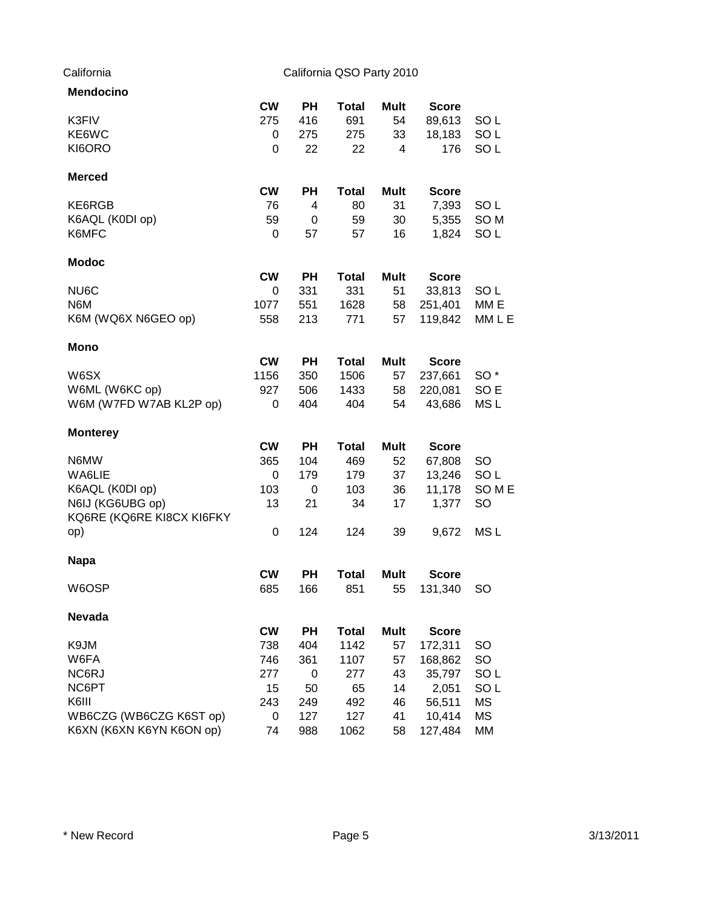| <b>Mendocino</b>          |           |           |              |             |              |                 |
|---------------------------|-----------|-----------|--------------|-------------|--------------|-----------------|
|                           | <b>CW</b> | <b>PH</b> | <b>Total</b> | <b>Mult</b> | <b>Score</b> |                 |
| K3FIV                     | 275       | 416       | 691          | 54          | 89,613       | SO <sub>L</sub> |
| KE6WC                     | 0         | 275       | 275          | 33          | 18,183       | SO <sub>L</sub> |
| KI6ORO                    | 0         | 22        | 22           | 4           | 176          | SO <sub>L</sub> |
| <b>Merced</b>             |           |           |              |             |              |                 |
|                           | <b>CW</b> | PH        | <b>Total</b> | <b>Mult</b> | <b>Score</b> |                 |
| KE6RGB                    | 76        | 4         | 80           | 31          | 7,393        | SO <sub>L</sub> |
| K6AQL (K0DI op)           | 59        | 0         | 59           | 30          | 5,355        | SO <sub>M</sub> |
| K6MFC                     | 0         | 57        | 57           | 16          | 1,824        | SO <sub>L</sub> |
| Modoc                     |           |           |              |             |              |                 |
|                           | <b>CW</b> | <b>PH</b> | <b>Total</b> | Mult        | <b>Score</b> |                 |
| NU6C                      | 0         | 331       | 331          | 51          | 33,813       | SO <sub>L</sub> |
| N6M                       | 1077      | 551       | 1628         | 58          | 251,401      | MM E            |
| K6M (WQ6X N6GEO op)       | 558       | 213       | 771          | 57          | 119,842      | MM L E          |
| <b>Mono</b>               |           |           |              |             |              |                 |
|                           | <b>CW</b> | PН        | <b>Total</b> | <b>Mult</b> | <b>Score</b> |                 |
| W6SX                      | 1156      | 350       | 1506         | 57          | 237,661      | SO <sup>*</sup> |
| W6ML (W6KC op)            | 927       | 506       | 1433         | 58          | 220,081      | SO <sub>E</sub> |
| W6M (W7FD W7AB KL2P op)   | 0         | 404       | 404          | 54          | 43,686       | MS <sub>L</sub> |
| <b>Monterey</b>           |           |           |              |             |              |                 |
|                           | <b>CW</b> | <b>PH</b> | <b>Total</b> | Mult        | <b>Score</b> |                 |
| N6MW                      | 365       | 104       | 469          | 52          | 67,808       | SO              |
| WA6LIE                    | 0         | 179       | 179          | 37          | 13,246       | SO <sub>L</sub> |
| K6AQL (K0DI op)           | 103       | 0         | 103          | 36          | 11,178       | SOME            |
| N6IJ (KG6UBG op)          | 13        | 21        | 34           | 17          | 1,377        | <b>SO</b>       |
| KQ6RE (KQ6RE KI8CX KI6FKY |           |           |              |             |              |                 |
| op)                       | 0         | 124       | 124          | 39          | 9,672        | MS <sub>L</sub> |
| <b>Napa</b>               |           |           |              |             |              |                 |
|                           | <b>CW</b> | <b>PH</b> | <b>Total</b> | <b>Mult</b> | <b>Score</b> |                 |
| W6OSP                     | 685       | 166       | 851          | 55          | 131,340      | <b>SO</b>       |
| Nevada                    |           |           |              |             |              |                 |
|                           | <b>CW</b> | PH        | <b>Total</b> | <b>Mult</b> | <b>Score</b> |                 |
| K9JM                      | 738       | 404       | 1142         | 57          | 172,311      | SO              |
| W6FA                      | 746       | 361       | 1107         | 57          | 168,862      | SO              |
| NC6RJ                     | 277       | 0         | 277          | 43          | 35,797       | SO <sub>L</sub> |
| NC6PT                     | 15        | 50        | 65           | 14          | 2,051        | SO <sub>L</sub> |
| K6III                     | 243       | 249       | 492          | 46          | 56,511       | <b>MS</b>       |
| WB6CZG (WB6CZG K6ST op)   | 0         | 127       | 127          | 41          | 10,414       | <b>MS</b>       |
| K6XN (K6XN K6YN K6ON op)  | 74        | 988       | 1062         | 58          | 127,484      | MM              |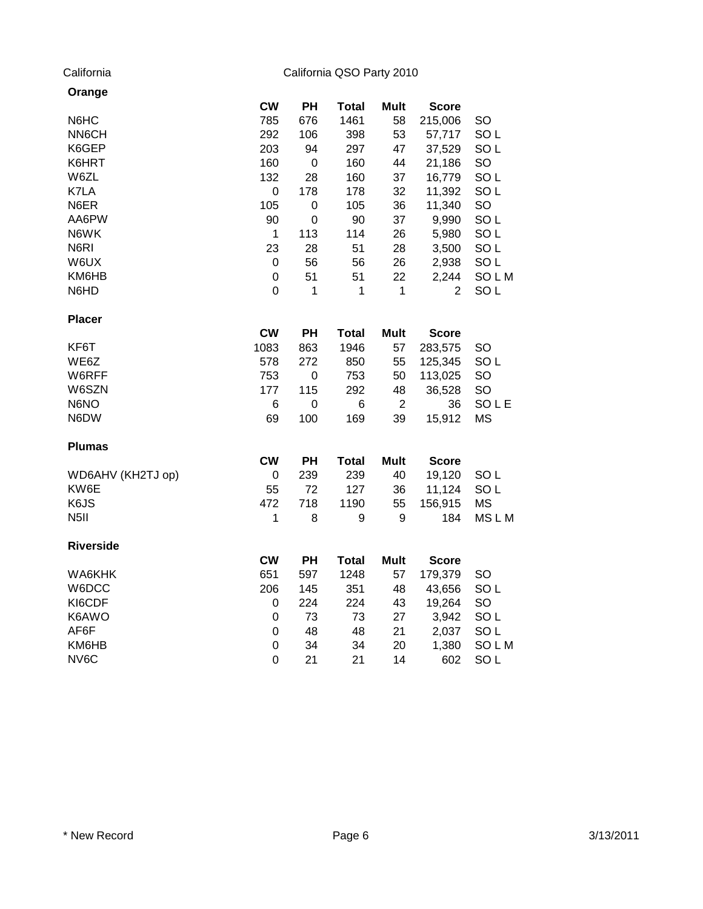| Orange            |             |                  |              |                  |              |                 |
|-------------------|-------------|------------------|--------------|------------------|--------------|-----------------|
|                   | <b>CW</b>   | PH               | <b>Total</b> | <b>Mult</b>      | <b>Score</b> |                 |
| N6HC              | 785         | 676              | 1461         | 58               | 215,006      | SO              |
| NN6CH             | 292         | 106              | 398          | 53               | 57,717       | SO <sub>L</sub> |
| K6GEP             | 203         | 94               | 297          | 47               | 37,529       | SO <sub>L</sub> |
| K6HRT             | 160         | $\boldsymbol{0}$ | 160          | 44               | 21,186       | SO              |
| W6ZL              | 132         | 28               | 160          | 37               | 16,779       | SO <sub>L</sub> |
| K7LA              | $\mathbf 0$ | 178              | 178          | 32               | 11,392       | SO <sub>L</sub> |
| N6ER              | 105         | $\pmb{0}$        | 105          | 36               | 11,340       | SO              |
| AA6PW             | 90          | $\mathbf 0$      | 90           | 37               | 9,990        | SO <sub>L</sub> |
| N6WK              | 1           | 113              | 114          | 26               | 5,980        | SO <sub>L</sub> |
| N6RI              | 23          | 28               | 51           | 28               | 3,500        | SO <sub>L</sub> |
| W6UX              | 0           | 56               | 56           | 26               | 2,938        | SO <sub>L</sub> |
| KM6HB             | $\mathbf 0$ | 51               | 51           | 22               | 2,244        | SOLM            |
| N6HD              | $\mathbf 0$ | 1                | 1            | 1                | 2            | SO <sub>L</sub> |
| <b>Placer</b>     |             |                  |              |                  |              |                 |
|                   | <b>CW</b>   | <b>PH</b>        | <b>Total</b> | <b>Mult</b>      | <b>Score</b> |                 |
| KF6T              | 1083        | 863              | 1946         | 57               | 283,575      | SO              |
| WE6Z              | 578         | 272              | 850          | 55               | 125,345      | SO <sub>L</sub> |
| W6RFF             | 753         | $\pmb{0}$        | 753          | 50               | 113,025      | SO              |
| W6SZN             | 177         | 115              | 292          | 48               | 36,528       | SO              |
| N6NO              | 6           | $\pmb{0}$        | 6            | $\overline{2}$   | 36           | SOLE            |
| N6DW              | 69          | 100              | 169          | 39               | 15,912       | <b>MS</b>       |
| <b>Plumas</b>     |             |                  |              |                  |              |                 |
|                   | <b>CW</b>   | PH               | <b>Total</b> | <b>Mult</b>      | <b>Score</b> |                 |
| WD6AHV (KH2TJ op) | 0           | 239              | 239          | 40               | 19,120       | SO <sub>L</sub> |
| KW6E              | 55          | 72               | 127          | 36               | 11,124       | SO <sub>L</sub> |
| K6JS              | 472         | 718              | 1190         | 55               | 156,915      | <b>MS</b>       |
| N <sub>5</sub> II | $\mathbf 1$ | 8                | 9            | $\boldsymbol{9}$ | 184          | MSLM            |
| <b>Riverside</b>  |             |                  |              |                  |              |                 |
|                   | <b>CW</b>   | PH               | <b>Total</b> | <b>Mult</b>      | <b>Score</b> |                 |
| WA6KHK            | 651         | 597              | 1248         | 57               | 179,379      | SO              |
| W6DCC             | 206         | 145              | 351          | 48               | 43,656       | SO <sub>L</sub> |
| KI6CDF            | 0           | 224              | 224          | 43               | 19,264       | SO              |
| K6AWO             | $\pmb{0}$   | 73               | 73           | 27               | 3,942        | SO <sub>L</sub> |
| AF6F              | $\pmb{0}$   | 48               | 48           | 21               | 2,037        | SO <sub>L</sub> |
| KM6HB             | $\pmb{0}$   | 34               | 34           | 20               | 1,380        | SOLM            |
| NV6C              | 0           | 21               | 21           | 14               | 602          | SO <sub>L</sub> |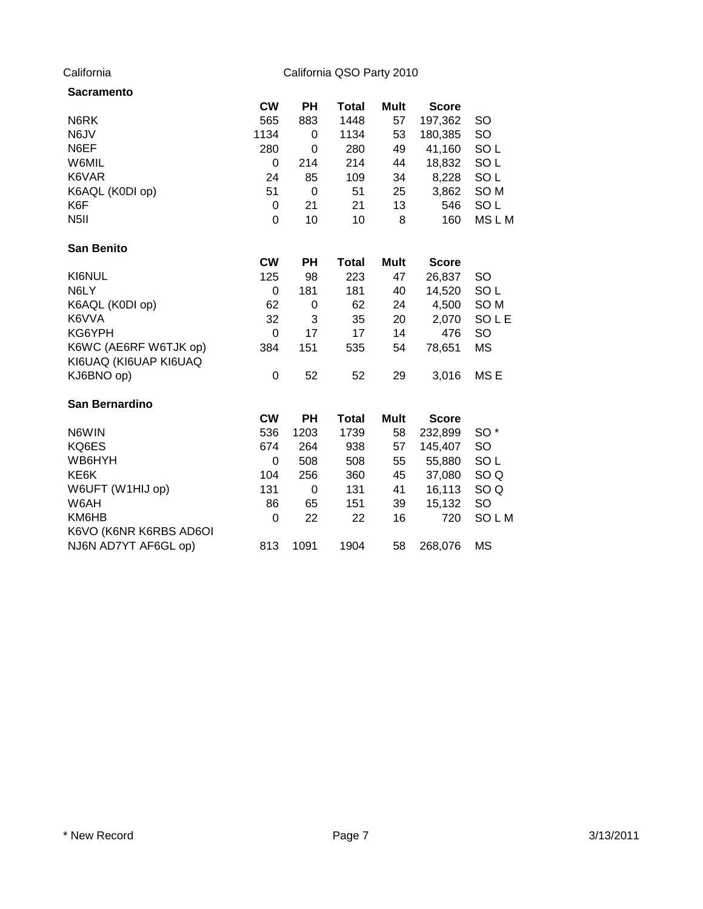| <b>Sacramento</b>      |             |             |              |             |              |                 |
|------------------------|-------------|-------------|--------------|-------------|--------------|-----------------|
|                        | <b>CW</b>   | <b>PH</b>   | Total        | <b>Mult</b> | <b>Score</b> |                 |
| N6RK                   | 565         | 883         | 1448         | 57          | 197,362      | SO              |
| N6JV                   | 1134        | 0           | 1134         | 53          | 180,385      | SO              |
| N6EF                   | 280         | 0           | 280          | 49          | 41,160       | SO <sub>L</sub> |
| W6MIL                  | 0           | 214         | 214          | 44          | 18,832       | SO <sub>L</sub> |
| K6VAR                  | 24          | 85          | 109          | 34          | 8,228        | SO <sub>L</sub> |
| K6AQL (K0DI op)        | 51          | $\mathbf 0$ | 51           | 25          | 3,862        | SO <sub>M</sub> |
| K6F                    | 0           | 21          | 21           | 13          | 546          | SO <sub>L</sub> |
| N <sub>5</sub> II      | $\mathbf 0$ | 10          | 10           | 8           | 160          | MSLM            |
| <b>San Benito</b>      |             |             |              |             |              |                 |
|                        | <b>CW</b>   | <b>PH</b>   | <b>Total</b> | <b>Mult</b> | <b>Score</b> |                 |
| KI6NUL                 | 125         | 98          | 223          | 47          | 26,837       | SO              |
| N6LY                   | 0           | 181         | 181          | 40          | 14,520       | SO <sub>L</sub> |
| K6AQL (K0DI op)        | 62          | 0           | 62           | 24          | 4,500        | SO <sub>M</sub> |
| K6VVA                  | 32          | 3           | 35           | 20          | 2,070        | SOLE            |
| KG6YPH                 | $\mathbf 0$ | 17          | 17           | 14          | 476          | SO              |
| K6WC (AE6RF W6TJK op)  | 384         | 151         | 535          | 54          | 78,651       | <b>MS</b>       |
| KI6UAQ (KI6UAP KI6UAQ  |             |             |              |             |              |                 |
| KJ6BNO op)             | 0           | 52          | 52           | 29          | 3,016        | MS <sub>E</sub> |
| San Bernardino         |             |             |              |             |              |                 |
|                        | <b>CW</b>   | <b>PH</b>   | <b>Total</b> | <b>Mult</b> | <b>Score</b> |                 |
| N6WIN                  | 536         | 1203        | 1739         | 58          | 232,899      | SO <sup>*</sup> |
| KQ6ES                  | 674         | 264         | 938          | 57          | 145,407      | SO              |
| WB6HYH                 | 0           | 508         | 508          | 55          | 55,880       | SO <sub>L</sub> |
| KE6K                   | 104         | 256         | 360          | 45          | 37,080       | SO <sub>Q</sub> |
| W6UFT (W1HIJ op)       | 131         | $\pmb{0}$   | 131          | 41          | 16,113       | SO <sub>Q</sub> |
| W6AH                   | 86          | 65          | 151          | 39          | 15,132       | <b>SO</b>       |
| KM6HB                  | 0           | 22          | 22           | 16          | 720          | SOLM            |
| K6VO (K6NR K6RBS AD6OI |             |             |              |             |              |                 |
| NJ6N AD7YT AF6GL op)   | 813         | 1091        | 1904         | 58          | 268,076      | <b>MS</b>       |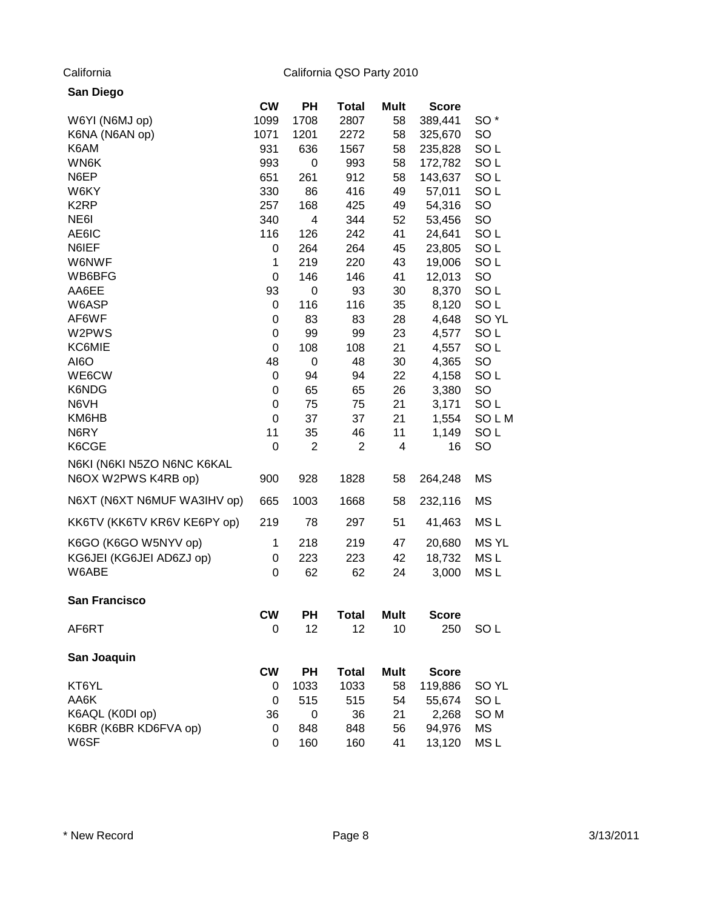| San Diego                   |             |                |                |             |              |                  |
|-----------------------------|-------------|----------------|----------------|-------------|--------------|------------------|
|                             | <b>CW</b>   | PH             | <b>Total</b>   | Mult        | <b>Score</b> |                  |
| W6YI (N6MJ op)              | 1099        | 1708           | 2807           | 58          | 389,441      | SO <sup>*</sup>  |
| K6NA (N6AN op)              | 1071        | 1201           | 2272           | 58          | 325,670      | <b>SO</b>        |
| K6AM                        | 931         | 636            | 1567           | 58          | 235,828      | SO <sub>L</sub>  |
| WN6K                        | 993         | $\pmb{0}$      | 993            | 58          | 172,782      | SO <sub>L</sub>  |
| N6EP                        | 651         | 261            | 912            | 58          | 143,637      | SO <sub>L</sub>  |
| W6KY                        | 330         | 86             | 416            | 49          | 57,011       | SO <sub>L</sub>  |
| K <sub>2</sub> RP           | 257         | 168            | 425            | 49          | 54,316       | SO               |
| NE6I                        | 340         | 4              | 344            | 52          | 53,456       | SO               |
| AE6IC                       | 116         | 126            | 242            | 41          | 24,641       | SO <sub>L</sub>  |
| N6IEF                       | 0           | 264            | 264            | 45          | 23,805       | SO <sub>L</sub>  |
| W6NWF                       | 1           | 219            | 220            | 43          | 19,006       | SO <sub>L</sub>  |
| WB6BFG                      | $\mathbf 0$ | 146            | 146            | 41          | 12,013       | SO               |
| AA6EE                       | 93          | 0              | 93             | 30          | 8,370        | SO <sub>L</sub>  |
| W6ASP                       | $\mathbf 0$ | 116            | 116            | 35          | 8,120        | SO <sub>L</sub>  |
| AF6WF                       | 0           | 83             | 83             | 28          | 4,648        | SO <sub>YL</sub> |
| W2PWS                       | $\mathbf 0$ | 99             | 99             | 23          | 4,577        | SO <sub>L</sub>  |
| KC6MIE                      | $\mathbf 0$ | 108            | 108            | 21          | 4,557        | SO <sub>L</sub>  |
| AI6O                        | 48          | $\pmb{0}$      | 48             | 30          | 4,365        | SO               |
| WE6CW                       | 0           | 94             | 94             | 22          | 4,158        | SO <sub>L</sub>  |
| K6NDG                       | $\mathbf 0$ | 65             | 65             | 26          | 3,380        | <b>SO</b>        |
| N6VH                        | $\mathbf 0$ | 75             | 75             | 21          | 3,171        | SO <sub>L</sub>  |
| KM6HB                       | $\mathbf 0$ | 37             | 37             | 21          | 1,554        | SOLM             |
| N6RY                        | 11          | 35             | 46             | 11          | 1,149        | SO <sub>L</sub>  |
| K6CGE                       | 0           | $\overline{2}$ | $\overline{2}$ | 4           | 16           | SO               |
| N6KI (N6KI N5ZO N6NC K6KAL  |             |                |                |             |              |                  |
| N6OX W2PWS K4RB op)         | 900         | 928            | 1828           | 58          | 264,248      | MS               |
| N6XT (N6XT N6MUF WA3IHV op) | 665         | 1003           | 1668           | 58          | 232,116      | MS               |
| KK6TV (KK6TV KR6V KE6PY op) | 219         | 78             | 297            | 51          | 41,463       | MS <sub>L</sub>  |
| K6GO (K6GO W5NYV op)        | 1           | 218            | 219            | 47          | 20,680       | <b>MSYL</b>      |
| KG6JEI (KG6JEI AD6ZJ op)    | 0           | 223            | 223            | 42          | 18,732       | MS <sub>L</sub>  |
| W6ABE                       | 0           | 62             | 62             | 24          | 3,000        | MS <sub>L</sub>  |
| <b>San Francisco</b>        |             |                |                |             |              |                  |
|                             | <b>CW</b>   | PН             | <b>Total</b>   | <b>Mult</b> | <b>Score</b> |                  |
| AF6RT                       | 0           | 12             | 12             | 10          | 250          | SO <sub>L</sub>  |
| San Joaquin                 |             |                |                |             |              |                  |
|                             | <b>CW</b>   | <b>PH</b>      | <b>Total</b>   | <b>Mult</b> | <b>Score</b> |                  |
| KT6YL                       | 0           | 1033           | 1033           | 58          | 119,886      | SO <sub>YL</sub> |
| AA6K                        | 0           | 515            | 515            | 54          | 55,674       | SO <sub>L</sub>  |
| K6AQL (K0DI op)             | 36          | 0              | 36             | 21          | 2,268        | SO <sub>M</sub>  |
| K6BR (K6BR KD6FVA op)       | 0           | 848            | 848            | 56          | 94,976       | <b>MS</b>        |
| W6SF                        | 0           | 160            | 160            | 41          | 13,120       | MS <sub>L</sub>  |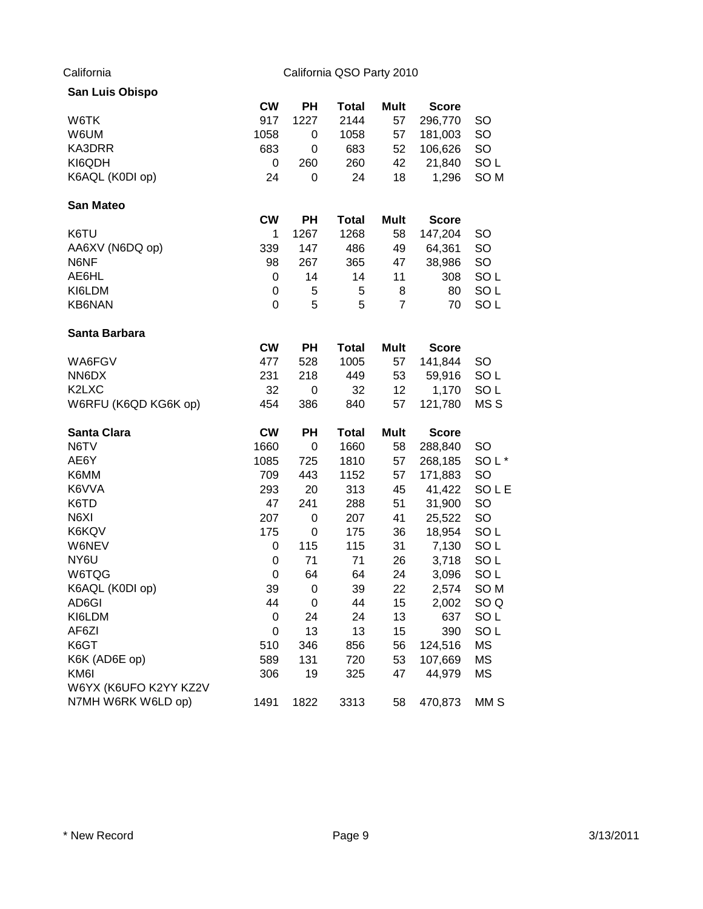| <b>San Luis Obispo</b> |             |             |              |                |              |                  |
|------------------------|-------------|-------------|--------------|----------------|--------------|------------------|
|                        | <b>CW</b>   | PН          | <b>Total</b> | Mult           | <b>Score</b> |                  |
| W6TK                   | 917         | 1227        | 2144         | 57             | 296,770      | SO               |
| W6UM                   | 1058        | 0           | 1058         | 57             | 181,003      | <b>SO</b>        |
| KA3DRR                 | 683         | 0           | 683          | 52             | 106,626      | <b>SO</b>        |
| KI6QDH                 | 0           | 260         | 260          | 42             | 21,840       | SO <sub>L</sub>  |
| K6AQL (K0DI op)        | 24          | 0           | 24           | 18             | 1,296        | SO <sub>M</sub>  |
| <b>San Mateo</b>       |             |             |              |                |              |                  |
|                        | <b>CW</b>   | PH          | <b>Total</b> | Mult           | <b>Score</b> |                  |
| K6TU                   | 1           | 1267        | 1268         | 58             | 147,204      | <b>SO</b>        |
| AA6XV (N6DQ op)        | 339         | 147         | 486          | 49             | 64,361       | <b>SO</b>        |
| N6NF                   | 98          | 267         | 365          | 47             | 38,986       | <b>SO</b>        |
| AE6HL                  | 0           | 14          | 14           | 11             | 308          | SO <sub>L</sub>  |
| KI6LDM                 | 0           | 5           | 5            | 8              | 80           | SO <sub>L</sub>  |
| KB6NAN                 | 0           | 5           | 5            | $\overline{7}$ | 70           | SO <sub>L</sub>  |
| Santa Barbara          |             |             |              |                |              |                  |
|                        | <b>CW</b>   | PH          | <b>Total</b> | Mult           | <b>Score</b> |                  |
| WA6FGV                 | 477         | 528         | 1005         | 57             | 141,844      | <b>SO</b>        |
| NN6DX                  | 231         | 218         | 449          | 53             | 59,916       | SO <sub>L</sub>  |
| K2LXC                  | 32          | 0           | 32           | 12             | 1,170        | SO <sub>L</sub>  |
| W6RFU (K6QD KG6K op)   | 454         | 386         | 840          | 57             | 121,780      | MS <sub>S</sub>  |
| <b>Santa Clara</b>     | <b>CW</b>   | PH          | <b>Total</b> | Mult           | <b>Score</b> |                  |
| N6TV                   | 1660        | $\mathbf 0$ | 1660         | 58             | 288,840      | <b>SO</b>        |
| AE6Y                   | 1085        | 725         | 1810         | 57             | 268,185      | SOL <sup>*</sup> |
| K6MM                   | 709         | 443         | 1152         | 57             | 171,883      | <b>SO</b>        |
| K6VVA                  | 293         | 20          | 313          | 45             | 41,422       | <b>SOLE</b>      |
| K6TD                   | 47          | 241         | 288          | 51             | 31,900       | <b>SO</b>        |
| N6XI                   | 207         | 0           | 207          | 41             | 25,522       | <b>SO</b>        |
| K6KQV                  | 175         | 0           | 175          | 36             | 18,954       | SO <sub>L</sub>  |
| W6NEV                  | 0           | 115         | 115          | 31             | 7,130        | SO <sub>L</sub>  |
| NY6U                   | 0           | 71          | 71           | 26             | 3,718        | SO <sub>L</sub>  |
| W6TQG                  | $\mathbf 0$ | 64          | 64           | 24             | 3,096        | SO <sub>L</sub>  |
| K6AQL (K0DI op)        | 39          | $\mathbf 0$ | 39           | 22             | 2,574        | SO <sub>M</sub>  |
| AD6GI                  | 44          | 0           | 44           | 15             | 2,002        | SO <sub>Q</sub>  |
| KI6LDM                 | 0           | 24          | 24           | 13             | 637          | SO <sub>L</sub>  |
| AF6ZI                  | 0           | 13          | 13           | 15             | 390          | SO <sub>L</sub>  |
| K6GT                   | 510         | 346         | 856          | 56             | 124,516      | <b>MS</b>        |
| K6K (AD6E op)          | 589         | 131         | 720          | 53             | 107,669      | MS               |
| KM6I                   | 306         | 19          | 325          | 47             | 44,979       | <b>MS</b>        |
| W6YX (K6UFO K2YY KZ2V  |             |             |              |                |              |                  |
| N7MH W6RK W6LD op)     | 1491        | 1822        | 3313         | 58             | 470,873      | MM S             |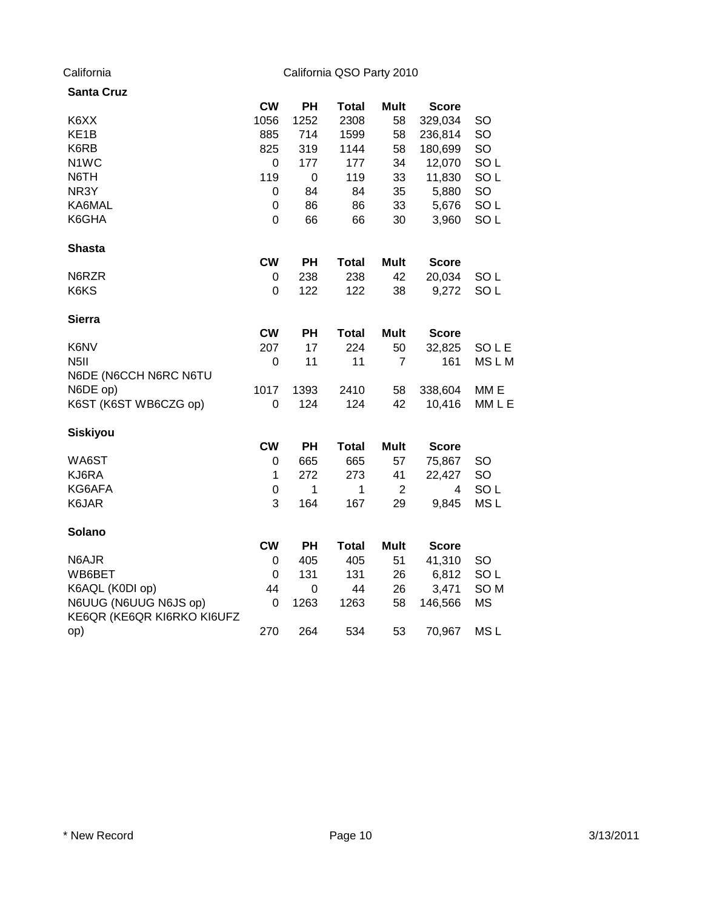| <b>Santa Cruz</b>                                   |                  |                  |              |                |              |                  |
|-----------------------------------------------------|------------------|------------------|--------------|----------------|--------------|------------------|
|                                                     | <b>CW</b>        | PH               | <b>Total</b> | <b>Mult</b>    | <b>Score</b> |                  |
| K6XX                                                | 1056             | 1252             | 2308         | 58             | 329,034      | SO               |
| KE <sub>1</sub> B                                   | 885              | 714              | 1599         | 58             | 236,814      | SO               |
| K6RB                                                | 825              | 319              | 1144         | 58             | 180,699      | SO               |
| N <sub>1</sub> WC                                   | 0                | 177              | 177          | 34             | 12,070       | SO <sub>L</sub>  |
| N6TH                                                | 119              | $\boldsymbol{0}$ | 119          | 33             | 11,830       | SO <sub>L</sub>  |
| NR3Y                                                | 0                | 84               | 84           | 35             | 5,880        | SO               |
| KA6MAL                                              | $\boldsymbol{0}$ | 86               | 86           | 33             | 5,676        | SO <sub>L</sub>  |
| K6GHA                                               | $\mathbf 0$      | 66               | 66           | 30             | 3,960        | SO <sub>L</sub>  |
| <b>Shasta</b>                                       |                  |                  |              |                |              |                  |
|                                                     | <b>CW</b>        | <b>PH</b>        | <b>Total</b> | <b>Mult</b>    | <b>Score</b> |                  |
| N6RZR                                               | 0                | 238              | 238          | 42             | 20,034       | SO <sub>L</sub>  |
| K6KS                                                | 0                | 122              | 122          | 38             | 9,272        | SO <sub>L</sub>  |
| <b>Sierra</b>                                       |                  |                  |              |                |              |                  |
|                                                     | <b>CW</b>        | <b>PH</b>        | <b>Total</b> | <b>Mult</b>    | <b>Score</b> |                  |
| K6NV                                                | 207              | 17               | 224          | 50             | 32,825       | SOLE             |
| N <sub>5</sub> II                                   | 0                | 11               | 11           | 7              | 161          | <b>MSLM</b>      |
| N6DE (N6CCH N6RC N6TU                               |                  |                  |              |                |              |                  |
| N6DE op)                                            | 1017             | 1393             | 2410         | 58             | 338,604      | MM <sub>E</sub>  |
| K6ST (K6ST WB6CZG op)                               | $\mathbf 0$      | 124              | 124          | 42             | 10,416       | MM <sub>LE</sub> |
| <b>Siskiyou</b>                                     |                  |                  |              |                |              |                  |
|                                                     | <b>CW</b>        | <b>PH</b>        | <b>Total</b> | <b>Mult</b>    | <b>Score</b> |                  |
| WA6ST                                               | 0                | 665              | 665          | 57             | 75,867       | <b>SO</b>        |
| KJ6RA                                               | 1                | 272              | 273          | 41             | 22,427       | SO               |
| KG6AFA                                              | $\boldsymbol{0}$ | $\mathbf 1$      | 1            | $\overline{2}$ | 4            | SO <sub>L</sub>  |
| K6JAR                                               | 3                | 164              | 167          | 29             | 9,845        | MS <sub>L</sub>  |
| Solano                                              |                  |                  |              |                |              |                  |
|                                                     | <b>CW</b>        | <b>PH</b>        | <b>Total</b> | <b>Mult</b>    | <b>Score</b> |                  |
| N6AJR                                               | 0                | 405              | 405          | 51             | 41,310       | <b>SO</b>        |
| WB6BET                                              | 0                | 131              | 131          | 26             | 6,812        | SO <sub>L</sub>  |
| K6AQL (K0DI op)                                     | 44               | 0                | 44           | 26             | 3,471        | SO <sub>M</sub>  |
| N6UUG (N6UUG N6JS op)<br>KE6QR (KE6QR KI6RKO KI6UFZ | 0                | 1263             | 1263         | 58             | 146,566      | <b>MS</b>        |
| op)                                                 | 270              | 264              | 534          | 53             | 70,967       | MS <sub>L</sub>  |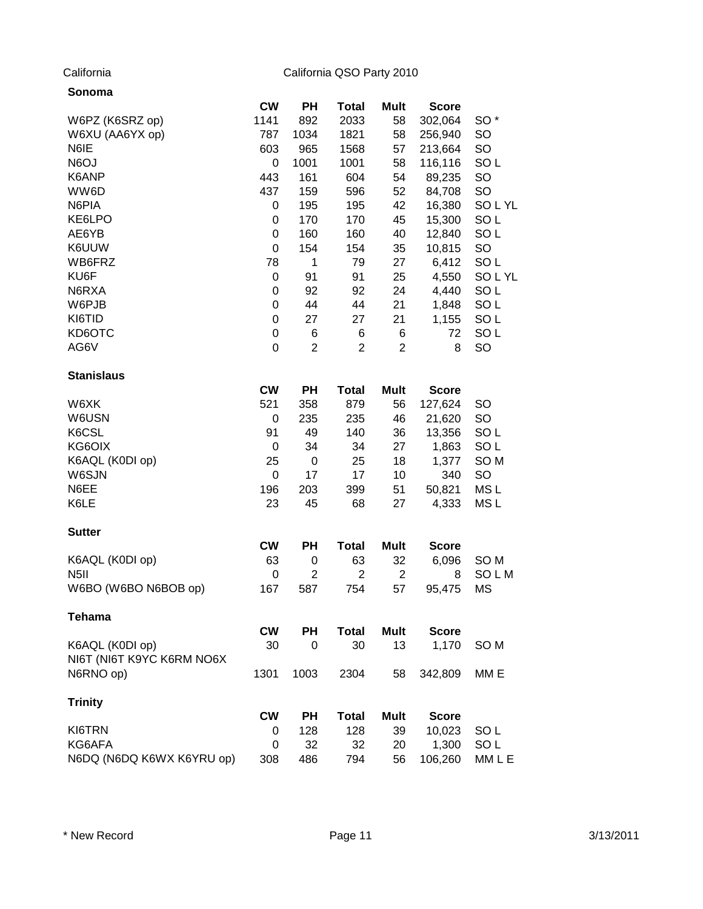| Sonoma                    |           |                |                |                         |              |                 |
|---------------------------|-----------|----------------|----------------|-------------------------|--------------|-----------------|
|                           | <b>CW</b> | PН             | <b>Total</b>   | Mult                    | <b>Score</b> |                 |
| W6PZ (K6SRZ op)           | 1141      | 892            | 2033           | 58                      | 302,064      | SO <sup>*</sup> |
| W6XU (AA6YX op)           | 787       | 1034           | 1821           | 58                      | 256,940      | <b>SO</b>       |
| N6IE                      | 603       | 965            | 1568           | 57                      | 213,664      | SO              |
| N6OJ                      | 0         | 1001           | 1001           | 58                      | 116,116      | SO <sub>L</sub> |
| K6ANP                     | 443       | 161            | 604            | 54                      | 89,235       | SO              |
| WW6D                      | 437       | 159            | 596            | 52                      | 84,708       | SO              |
| N6PIA                     | 0         | 195            | 195            | 42                      | 16,380       | SOLYL           |
| KE6LPO                    | 0         | 170            | 170            | 45                      | 15,300       | SO <sub>L</sub> |
| AE6YB                     | 0         | 160            | 160            | 40                      | 12,840       | SO <sub>L</sub> |
| K6UUW                     | 0         | 154            | 154            | 35                      | 10,815       | SO              |
| WB6FRZ                    | 78        | 1              | 79             | 27                      | 6,412        | SO <sub>L</sub> |
| KU6F                      | 0         | 91             | 91             | 25                      | 4,550        | SOLYL           |
| N6RXA                     | 0         | 92             | 92             | 24                      | 4,440        | SO <sub>L</sub> |
| W6PJB                     | 0         | 44             | 44             | 21                      | 1,848        | SO <sub>L</sub> |
| KI6TID                    | 0         | 27             | 27             | 21                      | 1,155        | SO <sub>L</sub> |
| KD6OTC                    | 0         | 6              | 6              | 6                       | 72           | SO <sub>L</sub> |
| AG6V                      | 0         | $\overline{2}$ | $\overline{2}$ | $\overline{2}$          | 8            | SO              |
| <b>Stanislaus</b>         |           |                |                |                         |              |                 |
|                           | <b>CW</b> | PH             | <b>Total</b>   | <b>Mult</b>             | <b>Score</b> |                 |
| W6XK                      | 521       | 358            | 879            | 56                      | 127,624      | SO              |
| W6USN                     | 0         | 235            | 235            | 46                      | 21,620       | SO              |
| K6CSL                     | 91        | 49             | 140            | 36                      | 13,356       | SO <sub>L</sub> |
| KG6OIX                    | 0         | 34             | 34             | 27                      | 1,863        | SO <sub>L</sub> |
| K6AQL (K0DI op)           | 25        | $\pmb{0}$      | 25             | 18                      | 1,377        | SO <sub>M</sub> |
| W6SJN                     | 0         | 17             | 17             | 10                      | 340          | SO              |
| N6EE                      | 196       | 203            | 399            | 51                      | 50,821       | MS <sub>L</sub> |
| K6LE                      | 23        | 45             | 68             | 27                      | 4,333        | MS <sub>L</sub> |
| <b>Sutter</b>             |           |                |                |                         |              |                 |
|                           | <b>CW</b> | PH             | <b>Total</b>   | Mult                    | <b>Score</b> |                 |
| K6AQL (K0DI op)           | 63        | 0              | 63             | 32                      | 6,096        | SO M            |
| N <sub>5</sub> II         | 0         | $\overline{2}$ | $\overline{2}$ | $\overline{\mathbf{c}}$ | 8            | SOLM            |
| W6BO (W6BO N6BOB op)      | 167       | 587            | 754            | 57                      | 95,475       | <b>MS</b>       |
| <b>Tehama</b>             |           |                |                |                         |              |                 |
|                           | <b>CW</b> | <b>PH</b>      | <b>Total</b>   | <b>Mult</b>             | <b>Score</b> |                 |
| K6AQL (K0DI op)           | 30        | 0              | 30             | 13                      | 1,170        | SO <sub>M</sub> |
| NI6T (NI6T K9YC K6RM NO6X |           |                |                |                         |              |                 |
| N6RNO op)                 | 1301      | 1003           | 2304           | 58                      | 342,809      | MM E            |
| <b>Trinity</b>            |           |                |                |                         |              |                 |
|                           | <b>CW</b> | PH             | <b>Total</b>   | Mult                    | <b>Score</b> |                 |
| KI6TRN                    | 0         | 128            | 128            | 39                      | 10,023       | SO <sub>L</sub> |
| KG6AFA                    | 0         | 32             | 32             | 20                      | 1,300        | SO <sub>L</sub> |
| N6DQ (N6DQ K6WX K6YRU op) | 308       | 486            | 794            | 56                      | 106,260      | MM L E          |